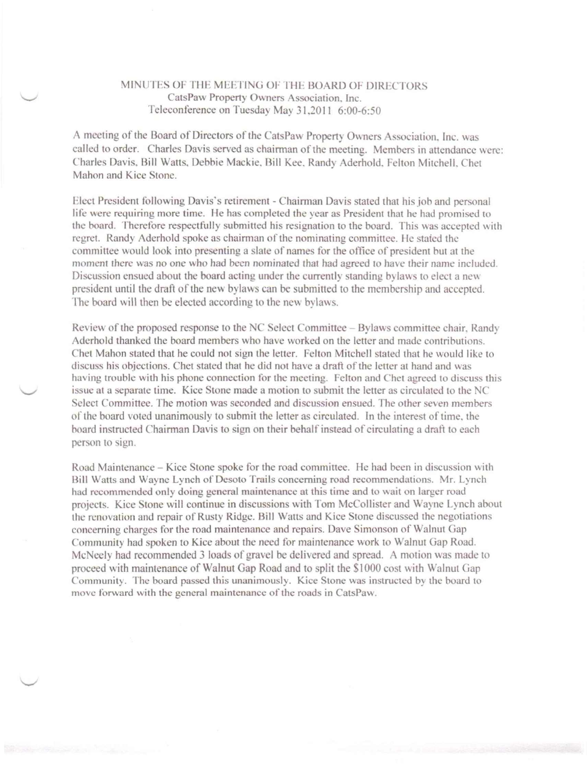## MINUTES OF THE MEETING OF THE BOARD OF DIRECTORS. CatsPaw Property Owners Association. Inc. Teleconference on Tuesday May 31,2011 6:00-6:50

A meeting of the Board of Directors of the CatsPaw Property Owners Association. Inc. was called to order. Charles Davis served as chairman of the meeting. Members in attendance were: Charles Davis. Bill Watts, Debbie Mackie. Rill Kee. Randy Aderhold. Felton Mitchell. Chet Mahon and Kice Stone.

Elect President following Davis's retirement - Chairman Davis stated that his job and personal life were requiring more time. He has completed the year as President that he had promised to the board. Therefore respectfully submitted his resignation to the board. This was accepted with regret. Randy Aderhold spoke as chairman of the nominating committee. He stated the committee would look into presenting a slate of names for the office of president hut at the moment there was no one who had been nominated that had agreed to have their name included. Discussion ensued about the board acting under the currently standing bylaws to elect a new president until the draft of the new bylaws can be submitted to the membership and accepted. The board will then be elected according to the new bylaws.

Review of the proposed response to the NC Select Committee - Bylaws committee chair. Randy Aderhold thanked the board members who have worked on the letter and made contributions. Chet Mahon stated that he could not sign the letter. Felton Mitchell stated that he would like to discuss his objections. Chet stated that he did not have a draft of the letter at hand and was having trouble with his phone connection for the meeting. Felton and Chet agreed to discuss this issue at a separate time. Kice Stone made a motion to submit the letter as circulated to the NC Select Committee. The motion was seconded and discussion ensued. The other seven members or the board voted unanimously to submit the letter as circulated. In the interest of time. the board instructed Chairman Davis to sign on their behalf instead of circulating a draft to each person to sign.

Road Maintenance - Kice Stone spoke for the road committee. He had been in discussion with Bill Watts and Wayne Lynch of Desoto Trails concerning road recommendations. Mr. Lynch had recommended only doing general maintenance at this time and to wait on larger road projects. Kice Stone will continue in discussions with Tom McCollister and Wayne Lynch about the renovation and repair of Rusty Ridge. Bill Wans and Kice Stone discussed the negotiations concerning charges for the road maintenance and repairs. Dave Simonson of Walnut Gap Community had spoken to Kice about the need for maintenance work to Walnut Gap Road. McNeely had recommended 3 loads of gravel be delivered and spread. A motion was made to proceed with maintenance of Walnut Gap Road and to split the \$1000 cost with Walnut Gap Community. The board passed this unanimously. Kice Stone was instructed by the board to move forward with the general maintenance of the roads in CatsPaw.